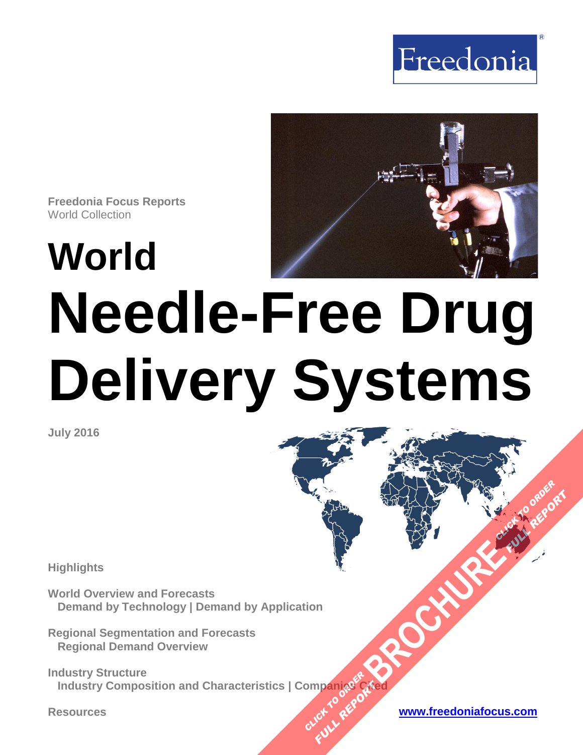



**Freedonia Focus Reports** World Collection

**World**

# **Needle-Free Drug Delivery Systems**

**July 2016**

**Highlights**

**World Overview and Forecasts Demand by Technology | Demand by Application**

**Regional Segmentation and Forecasts Regional Demand Overview**

**Industry Structure Industry Composition and Characteristics | Companies Cited OMPan<sub>dRef</sub>e Plance City** 

**Resources [www.freedoniafocus.com](http://www.freedoniagroup.com/FocusReports.aspx?ReferrerId=FM-FocusBro)**

**[BROCHURE](http://www.freedoniagroup.com/FocusDetails.aspx?ReferrerId=FM-FocusBro&ReportID=FW40061) CLICK TO ORDER** 

**FULL REPORT**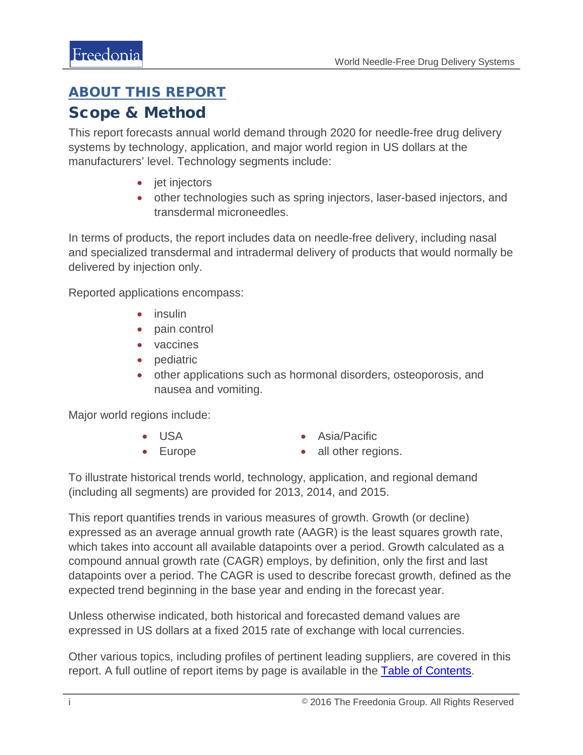## <span id="page-1-0"></span>ABOUT THIS REPORT

## Scope & Method

This report forecasts annual world demand through 2020 for needle-free drug delivery systems by technology, application, and major world region in US dollars at the manufacturers' level. Technology segments include:

- jet injectors
- other technologies such as spring injectors, laser-based injectors, and transdermal microneedles.

In terms of products, the report includes data on needle-free delivery, including nasal and specialized transdermal and intradermal delivery of products that would normally be delivered by injection only.

Reported applications encompass:

- insulin
- pain control
- vaccines
- pediatric
- other applications such as hormonal disorders, osteoporosis, and nausea and vomiting.

Major world regions include:

• USA

• Asia/Pacific

• Europe

• all other regions.

To illustrate historical trends world, technology, application, and regional demand (including all segments) are provided for 2013, 2014, and 2015.

This report quantifies trends in various measures of growth. Growth (or decline) expressed as an average annual growth rate (AAGR) is the least squares growth rate, which takes into account all available datapoints over a period. Growth calculated as a compound annual growth rate (CAGR) employs, by definition, only the first and last datapoints over a period. The CAGR is used to describe forecast growth, defined as the expected trend beginning in the base year and ending in the forecast year.

Unless otherwise indicated, both historical and forecasted demand values are expressed in US dollars at a fixed 2015 rate of exchange with local currencies.

Other various topics, including profiles of pertinent leading suppliers, are covered in this report. A full outline of report items by page is available in the [Table of Contents.](#page-3-0)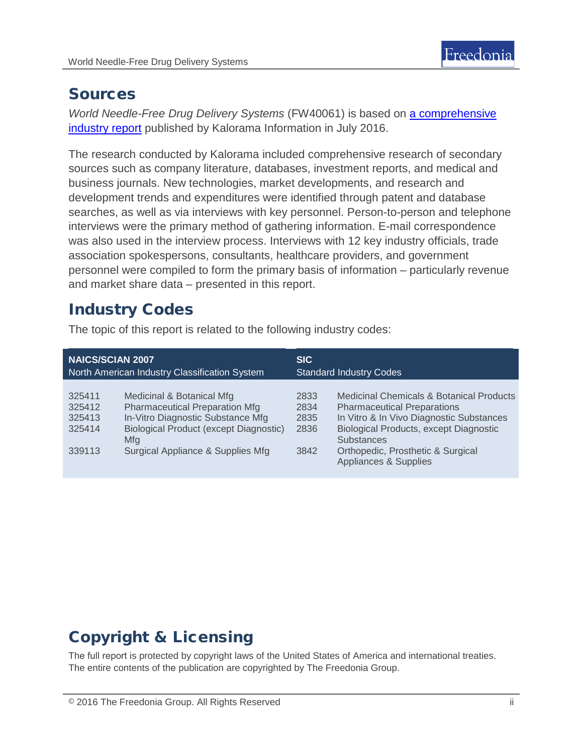

## Sources

*World Needle-Free Drug Delivery Systems* (FW40061) is based on [a comprehensive](http://www.kaloramainformation.com/Needle-Free-Drug-10177699/)  [industry report](http://www.kaloramainformation.com/Needle-Free-Drug-10177699/) published by Kalorama Information in July 2016.

The research conducted by Kalorama included comprehensive research of secondary sources such as company literature, databases, investment reports, and medical and business journals. New technologies, market developments, and research and development trends and expenditures were identified through patent and database searches, as well as via interviews with key personnel. Person-to-person and telephone interviews were the primary method of gathering information. E-mail correspondence was also used in the interview process. Interviews with 12 key industry officials, trade association spokespersons, consultants, healthcare providers, and government personnel were compiled to form the primary basis of information – particularly revenue and market share data – presented in this report.

## Industry Codes

The topic of this report is related to the following industry codes:

| <b>NAICS/SCIAN 2007</b>                        |                                                                                                                                                                                                      | <b>SIC</b>                           |                                                                                                                                                                                                                                                                |
|------------------------------------------------|------------------------------------------------------------------------------------------------------------------------------------------------------------------------------------------------------|--------------------------------------|----------------------------------------------------------------------------------------------------------------------------------------------------------------------------------------------------------------------------------------------------------------|
| North American Industry Classification System  |                                                                                                                                                                                                      | <b>Standard Industry Codes</b>       |                                                                                                                                                                                                                                                                |
| 325411<br>325412<br>325413<br>325414<br>339113 | Medicinal & Botanical Mfg<br><b>Pharmaceutical Preparation Mfg</b><br>In-Vitro Diagnostic Substance Mfg<br><b>Biological Product (except Diagnostic)</b><br>Mfg<br>Surgical Appliance & Supplies Mfg | 2833<br>2834<br>2835<br>2836<br>3842 | Medicinal Chemicals & Botanical Products<br><b>Pharmaceutical Preparations</b><br>In Vitro & In Vivo Diagnostic Substances<br><b>Biological Products, except Diagnostic</b><br><b>Substances</b><br>Orthopedic, Prosthetic & Surgical<br>Appliances & Supplies |

# Copyright & Licensing

The full report is protected by copyright laws of the United States of America and international treaties. The entire contents of the publication are copyrighted by The Freedonia Group.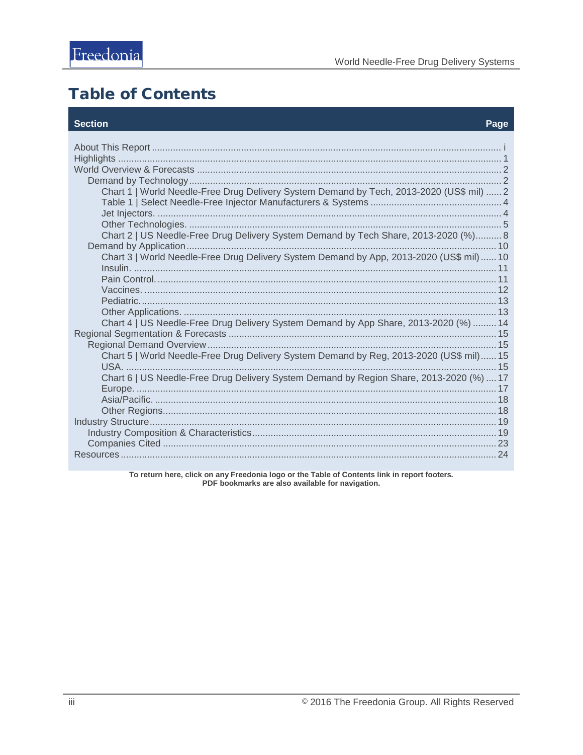# <span id="page-3-0"></span>**Table of Contents**

#### **Section**

#### Page

| Chart 1   World Needle-Free Drug Delivery System Demand by Tech, 2013-2020 (US\$ mil)  2 |
|------------------------------------------------------------------------------------------|
|                                                                                          |
|                                                                                          |
|                                                                                          |
| Chart 2   US Needle-Free Drug Delivery System Demand by Tech Share, 2013-2020 (%) 8      |
| Chart 3   World Needle-Free Drug Delivery System Demand by App, 2013-2020 (US\$ mil) 10  |
|                                                                                          |
|                                                                                          |
|                                                                                          |
|                                                                                          |
|                                                                                          |
| Chart 4   US Needle-Free Drug Delivery System Demand by App Share, 2013-2020 (%)  14     |
|                                                                                          |
|                                                                                          |
| Chart 5   World Needle-Free Drug Delivery System Demand by Reg, 2013-2020 (US\$ mil) 15  |
|                                                                                          |
| Chart 6   US Needle-Free Drug Delivery System Demand by Region Share, 2013-2020 (%)  17  |
|                                                                                          |
|                                                                                          |
|                                                                                          |
|                                                                                          |
|                                                                                          |
|                                                                                          |
|                                                                                          |
|                                                                                          |

To return here, click on any Freedonia logo or the Table of Contents link in report footers.<br>PDF bookmarks are also available for navigation.